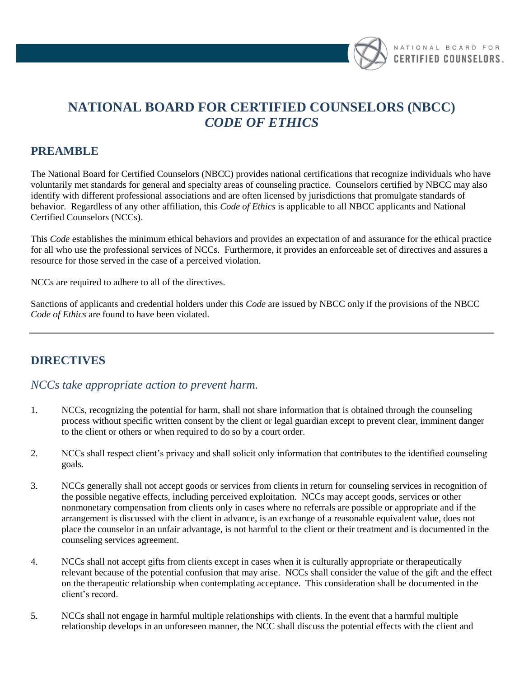

# **NATIONAL BOARD FOR CERTIFIED COUNSELORS (NBCC)** *CODE OF ETHICS*

## **PREAMBLE**

The National Board for Certified Counselors (NBCC) provides national certifications that recognize individuals who have voluntarily met standards for general and specialty areas of counseling practice. Counselors certified by NBCC may also identify with different professional associations and are often licensed by jurisdictions that promulgate standards of behavior. Regardless of any other affiliation, this *Code of Ethics* is applicable to all NBCC applicants and National Certified Counselors (NCCs).

This *Code* establishes the minimum ethical behaviors and provides an expectation of and assurance for the ethical practice for all who use the professional services of NCCs. Furthermore, it provides an enforceable set of directives and assures a resource for those served in the case of a perceived violation.

NCCs are required to adhere to all of the directives.

Sanctions of applicants and credential holders under this *Code* are issued by NBCC only if the provisions of the NBCC *Code of Ethics* are found to have been violated.

# **DIRECTIVES**

#### *NCCs take appropriate action to prevent harm.*

- 1. NCCs, recognizing the potential for harm, shall not share information that is obtained through the counseling process without specific written consent by the client or legal guardian except to prevent clear, imminent danger to the client or others or when required to do so by a court order.
- 2. NCCs shall respect client's privacy and shall solicit only information that contributes to the identified counseling goals.
- 3. NCCs generally shall not accept goods or services from clients in return for counseling services in recognition of the possible negative effects, including perceived exploitation. NCCs may accept goods, services or other nonmonetary compensation from clients only in cases where no referrals are possible or appropriate and if the arrangement is discussed with the client in advance, is an exchange of a reasonable equivalent value, does not place the counselor in an unfair advantage, is not harmful to the client or their treatment and is documented in the counseling services agreement.
- 4. NCCs shall not accept gifts from clients except in cases when it is culturally appropriate or therapeutically relevant because of the potential confusion that may arise. NCCs shall consider the value of the gift and the effect on the therapeutic relationship when contemplating acceptance. This consideration shall be documented in the client's record.
- 5. NCCs shall not engage in harmful multiple relationships with clients. In the event that a harmful multiple relationship develops in an unforeseen manner, the NCC shall discuss the potential effects with the client and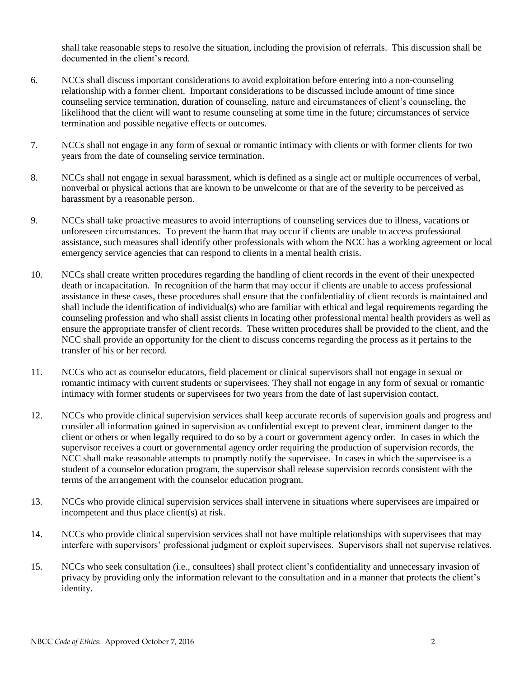shall take reasonable steps to resolve the situation, including the provision of referrals. This discussion shall be documented in the client's record.

- 6. NCCs shall discuss important considerations to avoid exploitation before entering into a non-counseling relationship with a former client. Important considerations to be discussed include amount of time since counseling service termination, duration of counseling, nature and circumstances of client's counseling, the likelihood that the client will want to resume counseling at some time in the future; circumstances of service termination and possible negative effects or outcomes.
- 7. NCCs shall not engage in any form of sexual or romantic intimacy with clients or with former clients for two years from the date of counseling service termination.
- 8. NCCs shall not engage in sexual harassment, which is defined as a single act or multiple occurrences of verbal, nonverbal or physical actions that are known to be unwelcome or that are of the severity to be perceived as harassment by a reasonable person.
- 9. NCCs shall take proactive measures to avoid interruptions of counseling services due to illness, vacations or unforeseen circumstances. To prevent the harm that may occur if clients are unable to access professional assistance, such measures shall identify other professionals with whom the NCC has a working agreement or local emergency service agencies that can respond to clients in a mental health crisis.
- 10. NCCs shall create written procedures regarding the handling of client records in the event of their unexpected death or incapacitation. In recognition of the harm that may occur if clients are unable to access professional assistance in these cases, these procedures shall ensure that the confidentiality of client records is maintained and shall include the identification of individual(s) who are familiar with ethical and legal requirements regarding the counseling profession and who shall assist clients in locating other professional mental health providers as well as ensure the appropriate transfer of client records. These written procedures shall be provided to the client, and the NCC shall provide an opportunity for the client to discuss concerns regarding the process as it pertains to the transfer of his or her record.
- 11. NCCs who act as counselor educators, field placement or clinical supervisors shall not engage in sexual or romantic intimacy with current students or supervisees. They shall not engage in any form of sexual or romantic intimacy with former students or supervisees for two years from the date of last supervision contact.
- 12. NCCs who provide clinical supervision services shall keep accurate records of supervision goals and progress and consider all information gained in supervision as confidential except to prevent clear, imminent danger to the client or others or when legally required to do so by a court or government agency order. In cases in which the supervisor receives a court or governmental agency order requiring the production of supervision records, the NCC shall make reasonable attempts to promptly notify the supervisee. In cases in which the supervisee is a student of a counselor education program, the supervisor shall release supervision records consistent with the terms of the arrangement with the counselor education program.
- 13. NCCs who provide clinical supervision services shall intervene in situations where supervisees are impaired or incompetent and thus place client(s) at risk.
- 14. NCCs who provide clinical supervision services shall not have multiple relationships with supervisees that may interfere with supervisors' professional judgment or exploit supervisees. Supervisors shall not supervise relatives.
- 15. NCCs who seek consultation (i.e., consultees) shall protect client's confidentiality and unnecessary invasion of privacy by providing only the information relevant to the consultation and in a manner that protects the client's identity.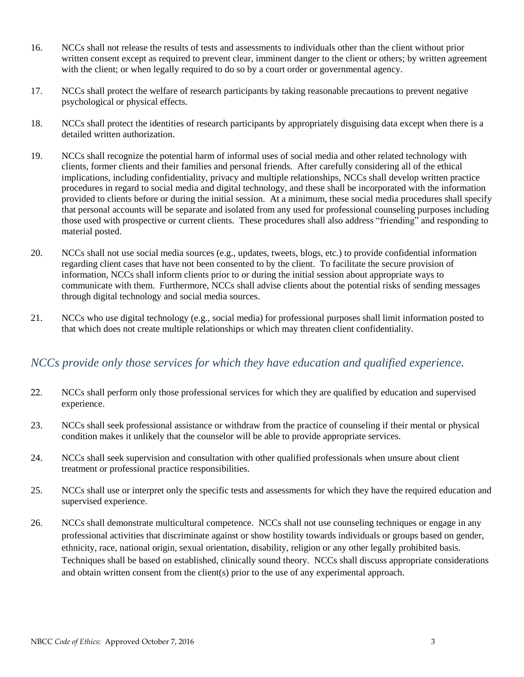- 16. NCCs shall not release the results of tests and assessments to individuals other than the client without prior written consent except as required to prevent clear, imminent danger to the client or others; by written agreement with the client; or when legally required to do so by a court order or governmental agency.
- 17. NCCs shall protect the welfare of research participants by taking reasonable precautions to prevent negative psychological or physical effects.
- 18. NCCs shall protect the identities of research participants by appropriately disguising data except when there is a detailed written authorization.
- 19. NCCs shall recognize the potential harm of informal uses of social media and other related technology with clients, former clients and their families and personal friends. After carefully considering all of the ethical implications, including confidentiality, privacy and multiple relationships, NCCs shall develop written practice procedures in regard to social media and digital technology, and these shall be incorporated with the information provided to clients before or during the initial session. At a minimum, these social media procedures shall specify that personal accounts will be separate and isolated from any used for professional counseling purposes including those used with prospective or current clients. These procedures shall also address "friending" and responding to material posted.
- 20. NCCs shall not use social media sources (e.g., updates, tweets, blogs, etc.) to provide confidential information regarding client cases that have not been consented to by the client. To facilitate the secure provision of information, NCCs shall inform clients prior to or during the initial session about appropriate ways to communicate with them. Furthermore, NCCs shall advise clients about the potential risks of sending messages through digital technology and social media sources.
- 21. NCCs who use digital technology (e.g., social media) for professional purposes shall limit information posted to that which does not create multiple relationships or which may threaten client confidentiality.

#### *NCCs provide only those services for which they have education and qualified experience.*

- 22. NCCs shall perform only those professional services for which they are qualified by education and supervised experience.
- 23. NCCs shall seek professional assistance or withdraw from the practice of counseling if their mental or physical condition makes it unlikely that the counselor will be able to provide appropriate services.
- 24. NCCs shall seek supervision and consultation with other qualified professionals when unsure about client treatment or professional practice responsibilities.
- 25. NCCs shall use or interpret only the specific tests and assessments for which they have the required education and supervised experience.
- 26. NCCs shall demonstrate multicultural competence. NCCs shall not use counseling techniques or engage in any professional activities that discriminate against or show hostility towards individuals or groups based on gender, ethnicity, race, national origin, sexual orientation, disability, religion or any other legally prohibited basis. Techniques shall be based on established, clinically sound theory. NCCs shall discuss appropriate considerations and obtain written consent from the client(s) prior to the use of any experimental approach.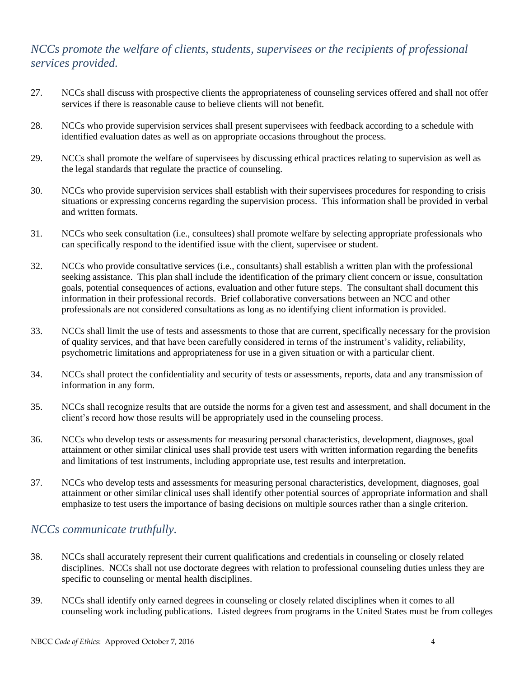## *NCCs promote the welfare of clients, students, supervisees or the recipients of professional services provided.*

- 27. NCCs shall discuss with prospective clients the appropriateness of counseling services offered and shall not offer services if there is reasonable cause to believe clients will not benefit.
- 28. NCCs who provide supervision services shall present supervisees with feedback according to a schedule with identified evaluation dates as well as on appropriate occasions throughout the process.
- 29. NCCs shall promote the welfare of supervisees by discussing ethical practices relating to supervision as well as the legal standards that regulate the practice of counseling.
- 30. NCCs who provide supervision services shall establish with their supervisees procedures for responding to crisis situations or expressing concerns regarding the supervision process. This information shall be provided in verbal and written formats.
- 31. NCCs who seek consultation (i.e., consultees) shall promote welfare by selecting appropriate professionals who can specifically respond to the identified issue with the client, supervisee or student.
- 32. NCCs who provide consultative services (i.e., consultants) shall establish a written plan with the professional seeking assistance. This plan shall include the identification of the primary client concern or issue, consultation goals, potential consequences of actions, evaluation and other future steps. The consultant shall document this information in their professional records. Brief collaborative conversations between an NCC and other professionals are not considered consultations as long as no identifying client information is provided.
- 33. NCCs shall limit the use of tests and assessments to those that are current, specifically necessary for the provision of quality services, and that have been carefully considered in terms of the instrument's validity, reliability, psychometric limitations and appropriateness for use in a given situation or with a particular client.
- 34. NCCs shall protect the confidentiality and security of tests or assessments, reports, data and any transmission of information in any form.
- 35. NCCs shall recognize results that are outside the norms for a given test and assessment, and shall document in the client's record how those results will be appropriately used in the counseling process.
- 36. NCCs who develop tests or assessments for measuring personal characteristics, development, diagnoses, goal attainment or other similar clinical uses shall provide test users with written information regarding the benefits and limitations of test instruments, including appropriate use, test results and interpretation.
- 37. NCCs who develop tests and assessments for measuring personal characteristics, development, diagnoses, goal attainment or other similar clinical uses shall identify other potential sources of appropriate information and shall emphasize to test users the importance of basing decisions on multiple sources rather than a single criterion.

#### *NCCs communicate truthfully.*

- 38. NCCs shall accurately represent their current qualifications and credentials in counseling or closely related disciplines. NCCs shall not use doctorate degrees with relation to professional counseling duties unless they are specific to counseling or mental health disciplines.
- 39. NCCs shall identify only earned degrees in counseling or closely related disciplines when it comes to all counseling work including publications. Listed degrees from programs in the United States must be from colleges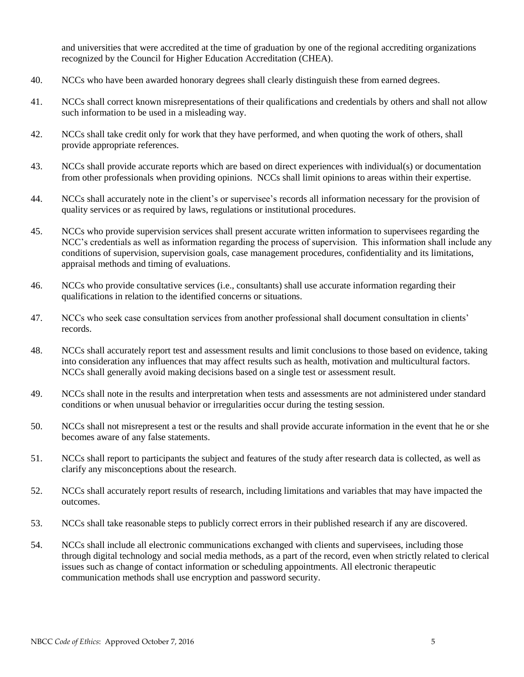and universities that were accredited at the time of graduation by one of the regional accrediting organizations recognized by the Council for Higher Education Accreditation (CHEA).

- 40. NCCs who have been awarded honorary degrees shall clearly distinguish these from earned degrees.
- 41. NCCs shall correct known misrepresentations of their qualifications and credentials by others and shall not allow such information to be used in a misleading way.
- 42. NCCs shall take credit only for work that they have performed, and when quoting the work of others, shall provide appropriate references.
- 43. NCCs shall provide accurate reports which are based on direct experiences with individual(s) or documentation from other professionals when providing opinions. NCCs shall limit opinions to areas within their expertise.
- 44. NCCs shall accurately note in the client's or supervisee's records all information necessary for the provision of quality services or as required by laws, regulations or institutional procedures.
- 45. NCCs who provide supervision services shall present accurate written information to supervisees regarding the NCC's credentials as well as information regarding the process of supervision. This information shall include any conditions of supervision, supervision goals, case management procedures, confidentiality and its limitations, appraisal methods and timing of evaluations.
- 46. NCCs who provide consultative services (i.e., consultants) shall use accurate information regarding their qualifications in relation to the identified concerns or situations.
- 47. NCCs who seek case consultation services from another professional shall document consultation in clients' records.
- 48. NCCs shall accurately report test and assessment results and limit conclusions to those based on evidence, taking into consideration any influences that may affect results such as health, motivation and multicultural factors. NCCs shall generally avoid making decisions based on a single test or assessment result.
- 49. NCCs shall note in the results and interpretation when tests and assessments are not administered under standard conditions or when unusual behavior or irregularities occur during the testing session.
- 50. NCCs shall not misrepresent a test or the results and shall provide accurate information in the event that he or she becomes aware of any false statements.
- 51. NCCs shall report to participants the subject and features of the study after research data is collected, as well as clarify any misconceptions about the research.
- 52. NCCs shall accurately report results of research, including limitations and variables that may have impacted the outcomes.
- 53. NCCs shall take reasonable steps to publicly correct errors in their published research if any are discovered.
- 54. NCCs shall include all electronic communications exchanged with clients and supervisees, including those through digital technology and social media methods, as a part of the record, even when strictly related to clerical issues such as change of contact information or scheduling appointments. All electronic therapeutic communication methods shall use encryption and password security.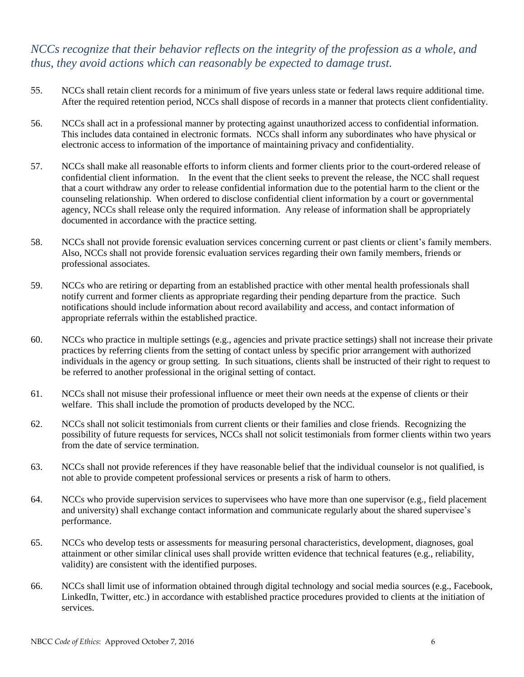#### *NCCs recognize that their behavior reflects on the integrity of the profession as a whole, and thus, they avoid actions which can reasonably be expected to damage trust.*

- 55. NCCs shall retain client records for a minimum of five years unless state or federal laws require additional time. After the required retention period, NCCs shall dispose of records in a manner that protects client confidentiality.
- 56. NCCs shall act in a professional manner by protecting against unauthorized access to confidential information. This includes data contained in electronic formats. NCCs shall inform any subordinates who have physical or electronic access to information of the importance of maintaining privacy and confidentiality.
- 57. NCCs shall make all reasonable efforts to inform clients and former clients prior to the court-ordered release of confidential client information. In the event that the client seeks to prevent the release, the NCC shall request that a court withdraw any order to release confidential information due to the potential harm to the client or the counseling relationship. When ordered to disclose confidential client information by a court or governmental agency, NCCs shall release only the required information. Any release of information shall be appropriately documented in accordance with the practice setting.
- 58. NCCs shall not provide forensic evaluation services concerning current or past clients or client's family members. Also, NCCs shall not provide forensic evaluation services regarding their own family members, friends or professional associates.
- 59. NCCs who are retiring or departing from an established practice with other mental health professionals shall notify current and former clients as appropriate regarding their pending departure from the practice. Such notifications should include information about record availability and access, and contact information of appropriate referrals within the established practice.
- 60. NCCs who practice in multiple settings (e.g., agencies and private practice settings) shall not increase their private practices by referring clients from the setting of contact unless by specific prior arrangement with authorized individuals in the agency or group setting. In such situations, clients shall be instructed of their right to request to be referred to another professional in the original setting of contact.
- 61. NCCs shall not misuse their professional influence or meet their own needs at the expense of clients or their welfare. This shall include the promotion of products developed by the NCC.
- 62. NCCs shall not solicit testimonials from current clients or their families and close friends. Recognizing the possibility of future requests for services, NCCs shall not solicit testimonials from former clients within two years from the date of service termination.
- 63. NCCs shall not provide references if they have reasonable belief that the individual counselor is not qualified, is not able to provide competent professional services or presents a risk of harm to others.
- 64. NCCs who provide supervision services to supervisees who have more than one supervisor (e.g., field placement and university) shall exchange contact information and communicate regularly about the shared supervisee's performance.
- 65. NCCs who develop tests or assessments for measuring personal characteristics, development, diagnoses, goal attainment or other similar clinical uses shall provide written evidence that technical features (e.g., reliability, validity) are consistent with the identified purposes.
- 66. NCCs shall limit use of information obtained through digital technology and social media sources (e.g., Facebook, LinkedIn, Twitter, etc.) in accordance with established practice procedures provided to clients at the initiation of services.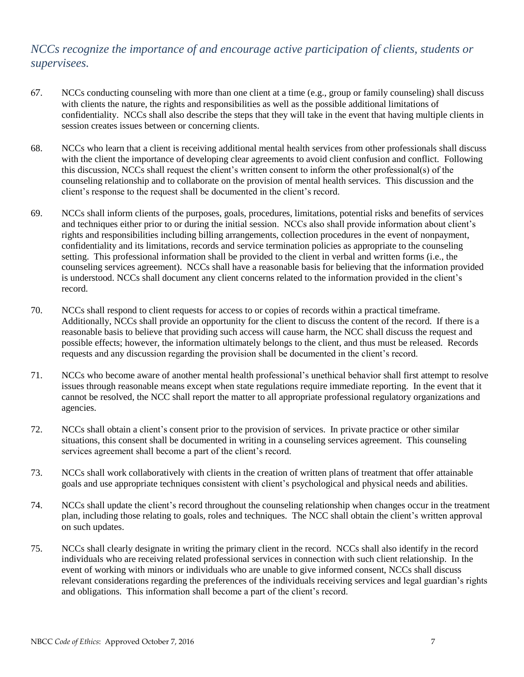## *NCCs recognize the importance of and encourage active participation of clients, students or supervisees.*

- 67. NCCs conducting counseling with more than one client at a time (e.g., group or family counseling) shall discuss with clients the nature, the rights and responsibilities as well as the possible additional limitations of confidentiality. NCCs shall also describe the steps that they will take in the event that having multiple clients in session creates issues between or concerning clients.
- 68. NCCs who learn that a client is receiving additional mental health services from other professionals shall discuss with the client the importance of developing clear agreements to avoid client confusion and conflict. Following this discussion, NCCs shall request the client's written consent to inform the other professional(s) of the counseling relationship and to collaborate on the provision of mental health services. This discussion and the client's response to the request shall be documented in the client's record.
- 69. NCCs shall inform clients of the purposes, goals, procedures, limitations, potential risks and benefits of services and techniques either prior to or during the initial session. NCCs also shall provide information about client's rights and responsibilities including billing arrangements, collection procedures in the event of nonpayment, confidentiality and its limitations, records and service termination policies as appropriate to the counseling setting. This professional information shall be provided to the client in verbal and written forms (i.e., the counseling services agreement). NCCs shall have a reasonable basis for believing that the information provided is understood. NCCs shall document any client concerns related to the information provided in the client's record.
- 70. NCCs shall respond to client requests for access to or copies of records within a practical timeframe. Additionally, NCCs shall provide an opportunity for the client to discuss the content of the record. If there is a reasonable basis to believe that providing such access will cause harm, the NCC shall discuss the request and possible effects; however, the information ultimately belongs to the client, and thus must be released. Records requests and any discussion regarding the provision shall be documented in the client's record.
- 71. NCCs who become aware of another mental health professional's unethical behavior shall first attempt to resolve issues through reasonable means except when state regulations require immediate reporting. In the event that it cannot be resolved, the NCC shall report the matter to all appropriate professional regulatory organizations and agencies.
- 72. NCCs shall obtain a client's consent prior to the provision of services. In private practice or other similar situations, this consent shall be documented in writing in a counseling services agreement. This counseling services agreement shall become a part of the client's record.
- 73. NCCs shall work collaboratively with clients in the creation of written plans of treatment that offer attainable goals and use appropriate techniques consistent with client's psychological and physical needs and abilities.
- 74. NCCs shall update the client's record throughout the counseling relationship when changes occur in the treatment plan, including those relating to goals, roles and techniques. The NCC shall obtain the client's written approval on such updates.
- 75. NCCs shall clearly designate in writing the primary client in the record. NCCs shall also identify in the record individuals who are receiving related professional services in connection with such client relationship. In the event of working with minors or individuals who are unable to give informed consent, NCCs shall discuss relevant considerations regarding the preferences of the individuals receiving services and legal guardian's rights and obligations. This information shall become a part of the client's record.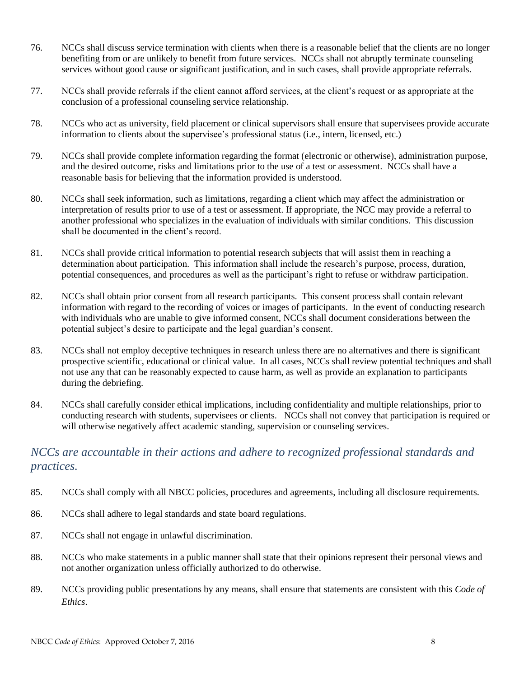- 76. NCCs shall discuss service termination with clients when there is a reasonable belief that the clients are no longer benefiting from or are unlikely to benefit from future services. NCCs shall not abruptly terminate counseling services without good cause or significant justification, and in such cases, shall provide appropriate referrals.
- 77. NCCs shall provide referrals if the client cannot afford services, at the client's request or as appropriate at the conclusion of a professional counseling service relationship.
- 78. NCCs who act as university, field placement or clinical supervisors shall ensure that supervisees provide accurate information to clients about the supervisee's professional status (i.e., intern, licensed, etc.)
- 79. NCCs shall provide complete information regarding the format (electronic or otherwise), administration purpose, and the desired outcome, risks and limitations prior to the use of a test or assessment. NCCs shall have a reasonable basis for believing that the information provided is understood.
- 80. NCCs shall seek information, such as limitations, regarding a client which may affect the administration or interpretation of results prior to use of a test or assessment. If appropriate, the NCC may provide a referral to another professional who specializes in the evaluation of individuals with similar conditions. This discussion shall be documented in the client's record.
- 81. NCCs shall provide critical information to potential research subjects that will assist them in reaching a determination about participation. This information shall include the research's purpose, process, duration, potential consequences, and procedures as well as the participant's right to refuse or withdraw participation.
- 82. NCCs shall obtain prior consent from all research participants. This consent process shall contain relevant information with regard to the recording of voices or images of participants. In the event of conducting research with individuals who are unable to give informed consent, NCCs shall document considerations between the potential subject's desire to participate and the legal guardian's consent.
- 83. NCCs shall not employ deceptive techniques in research unless there are no alternatives and there is significant prospective scientific, educational or clinical value. In all cases, NCCs shall review potential techniques and shall not use any that can be reasonably expected to cause harm, as well as provide an explanation to participants during the debriefing.
- 84. NCCs shall carefully consider ethical implications, including confidentiality and multiple relationships, prior to conducting research with students, supervisees or clients. NCCs shall not convey that participation is required or will otherwise negatively affect academic standing, supervision or counseling services.

## *NCCs are accountable in their actions and adhere to recognized professional standards and practices.*

- 85. NCCs shall comply with all NBCC policies, procedures and agreements, including all disclosure requirements.
- 86. NCCs shall adhere to legal standards and state board regulations.
- 87. NCCs shall not engage in unlawful discrimination.
- 88. NCCs who make statements in a public manner shall state that their opinions represent their personal views and not another organization unless officially authorized to do otherwise.
- 89. NCCs providing public presentations by any means, shall ensure that statements are consistent with this *Code of Ethics*.